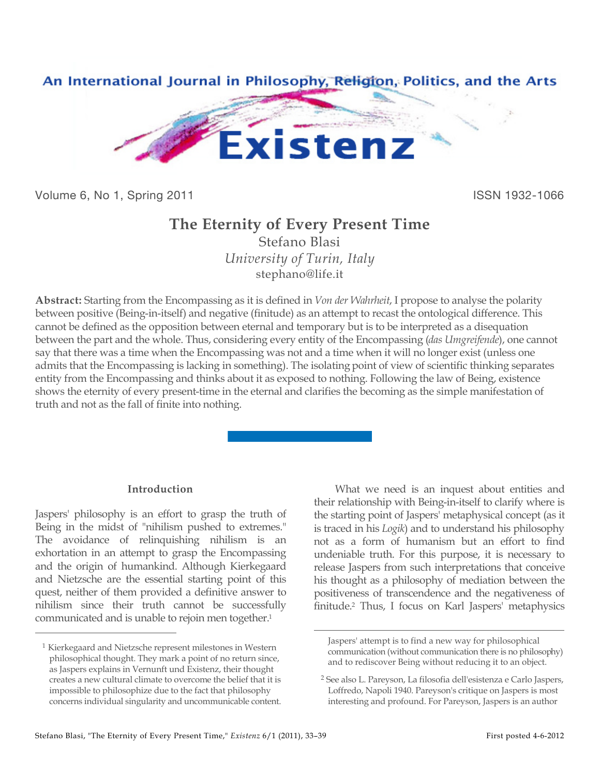

Volume 6, No 1, Spring 2011 **ISSN 1932-1066** 

# **The Eternity of Every Present Time**

Stefano Blasi *University of Turin, Italy* stephano@life.it

**Abstract:** Starting from the Encompassing as it is defined in *Von der Wahrheit*, I propose to analyse the polarity between positive (Being-in-itself) and negative (finitude) as an attempt to recast the ontological difference. This cannot be defined as the opposition between eternal and temporary but is to be interpreted as a disequation between the part and the whole. Thus, considering every entity of the Encompassing (*das Umgreifende*), one cannot say that there was a time when the Encompassing was not and a time when it will no longer exist (unless one admits that the Encompassing is lacking in something). The isolating point of view of scientific thinking separates entity from the Encompassing and thinks about it as exposed to nothing. Following the law of Being, existence shows the eternity of every present-time in the eternal and clarifies the becoming as the simple manifestation of truth and not as the fall of finite into nothing.

 $\overline{a}$ 

# **Introduction**

Jaspers' philosophy is an effort to grasp the truth of Being in the midst of "nihilism pushed to extremes." The avoidance of relinquishing nihilism is an exhortation in an attempt to grasp the Encompassing and the origin of humankind. Although Kierkegaard and Nietzsche are the essential starting point of this quest, neither of them provided a definitive answer to nihilism since their truth cannot be successfully communicated and is unable to rejoin men together.1

 $\overline{a}$ 

What we need is an inquest about entities and their relationship with Being-in-itself to clarify where is the starting point of Jaspers' metaphysical concept (as it is traced in his *Logik*) and to understand his philosophy not as a form of humanism but an effort to find undeniable truth. For this purpose, it is necessary to release Jaspers from such interpretations that conceive his thought as a philosophy of mediation between the positiveness of transcendence and the negativeness of finitude.2 Thus, I focus on Karl Jaspers' metaphysics

<sup>1</sup> Kierkegaard and Nietzsche represent milestones in Western philosophical thought. They mark a point of no return since, as Jaspers explains in Vernunft und Existenz, their thought creates a new cultural climate to overcome the belief that it is impossible to philosophize due to the fact that philosophy concerns individual singularity and uncommunicable content.

Jaspers' attempt is to find a new way for philosophical communication (without communication there is no philosophy) and to rediscover Being without reducing it to an object.

<sup>2</sup> See also L. Pareyson, La filosofia dell'esistenza e Carlo Jaspers, Loffredo, Napoli 1940. Pareyson's critique on Jaspers is most interesting and profound. For Pareyson, Jaspers is an author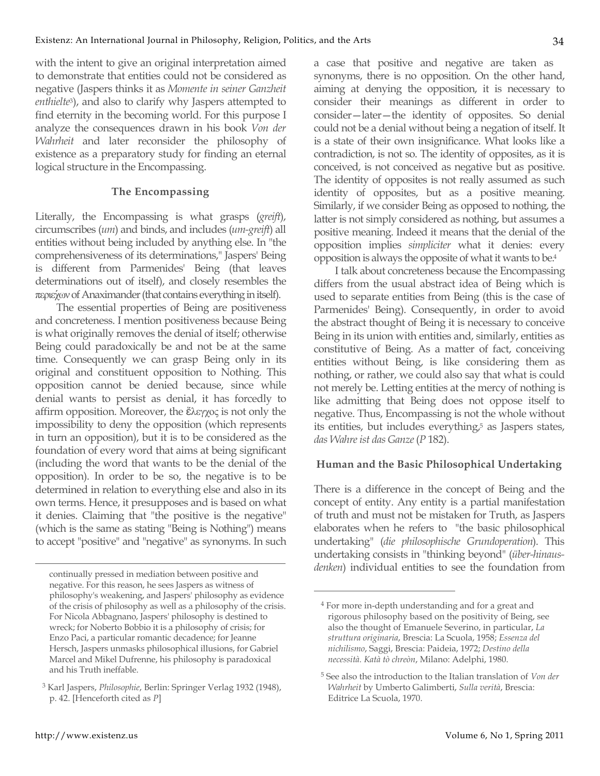with the intent to give an original interpretation aimed to demonstrate that entities could not be considered as negative (Jaspers thinks it as *Momente in seiner Ganzheit enthielte*3), and also to clarify why Jaspers attempted to find eternity in the becoming world. For this purpose I analyze the consequences drawn in his book *Von der Wahrheit* and later reconsider the philosophy of existence as a preparatory study for finding an eternal logical structure in the Encompassing.

#### **The Encompassing**

Literally, the Encompassing is what grasps (*greift*), circumscribes (*um*) and binds, and includes (*um-greift*) all entities without being included by anything else. In "the comprehensiveness of its determinations," Jaspers' Being is different from Parmenides' Being (that leaves determinations out of itself), and closely resembles the περιέχων of Anaximander (that contains everything in itself).

The essential properties of Being are positiveness and concreteness. I mention positiveness because Being is what originally removes the denial of itself; otherwise Being could paradoxically be and not be at the same time. Consequently we can grasp Being only in its original and constituent opposition to Nothing. This opposition cannot be denied because, since while denial wants to persist as denial, it has forcedly to affirm opposition. Moreover, the ἕλεγχος is not only the impossibility to deny the opposition (which represents in turn an opposition), but it is to be considered as the foundation of every word that aims at being significant (including the word that wants to be the denial of the opposition). In order to be so, the negative is to be determined in relation to everything else and also in its own terms. Hence, it presupposes and is based on what it denies. Claiming that "the positive is the negative" (which is the same as stating "Being is Nothing") means to accept "positive" and "negative" as synonyms. In such a case that positive and negative are taken as synonyms, there is no opposition. On the other hand, aiming at denying the opposition, it is necessary to consider their meanings as different in order to consider—later—the identity of opposites. So denial could not be a denial without being a negation of itself. It is a state of their own insignificance. What looks like a contradiction, is not so. The identity of opposites, as it is conceived, is not conceived as negative but as positive. The identity of opposites is not really assumed as such identity of opposites, but as a positive meaning. Similarly, if we consider Being as opposed to nothing, the latter is not simply considered as nothing, but assumes a positive meaning. Indeed it means that the denial of the opposition implies *simpliciter* what it denies: every opposition is always the opposite of what it wants to be.4

I talk about concreteness because the Encompassing differs from the usual abstract idea of Being which is used to separate entities from Being (this is the case of Parmenides' Being). Consequently, in order to avoid the abstract thought of Being it is necessary to conceive Being in its union with entities and, similarly, entities as constitutive of Being. As a matter of fact, conceiving entities without Being, is like considering them as nothing, or rather, we could also say that what is could not merely be. Letting entities at the mercy of nothing is like admitting that Being does not oppose itself to negative. Thus, Encompassing is not the whole without its entities, but includes everything,<sup>5</sup> as Jaspers states, *das Wahre ist das Ganze* (*P* 182).

#### **Human and the Basic Philosophical Undertaking**

There is a difference in the concept of Being and the concept of entity. Any entity is a partial manifestation of truth and must not be mistaken for Truth, as Jaspers elaborates when he refers to "the basic philosophical undertaking" (*die philosophische Grundoperation*). This undertaking consists in "thinking beyond" (*über-hinausdenken*) individual entities to see the foundation from

 $\overline{a}$ 

continually pressed in mediation between positive and negative. For this reason, he sees Jaspers as witness of philosophy's weakening, and Jaspers' philosophy as evidence of the crisis of philosophy as well as a philosophy of the crisis. For Nicola Abbagnano, Jaspers' philosophy is destined to wreck; for Noberto Bobbio it is a philosophy of crisis; for Enzo Paci, a particular romantic decadence; for Jeanne Hersch, Jaspers unmasks philosophical illusions, for Gabriel Marcel and Mikel Dufrenne, his philosophy is paradoxical and his Truth ineffable.

<sup>3</sup> Karl Jaspers, *Philosophie*, Berlin: Springer Verlag 1932 (1948), p. 42. [Henceforth cited as *P*]

<sup>4</sup> For more in-depth understanding and for a great and rigorous philosophy based on the positivity of Being, see also the thought of Emanuele Severino, in particular, *La struttura originaria*, Brescia: La Scuola, 1958; *Essenza del nichilismo*, Saggi, Brescia: Paideia, 1972; *Destino della necessità. Katà tò chreòn*, Milano: Adelphi, 1980.

<sup>5</sup> See also the introduction to the Italian translation of *Von der Wahrheit* by Umberto Galimberti, *Sulla verità*, Brescia: Editrice La Scuola, 1970.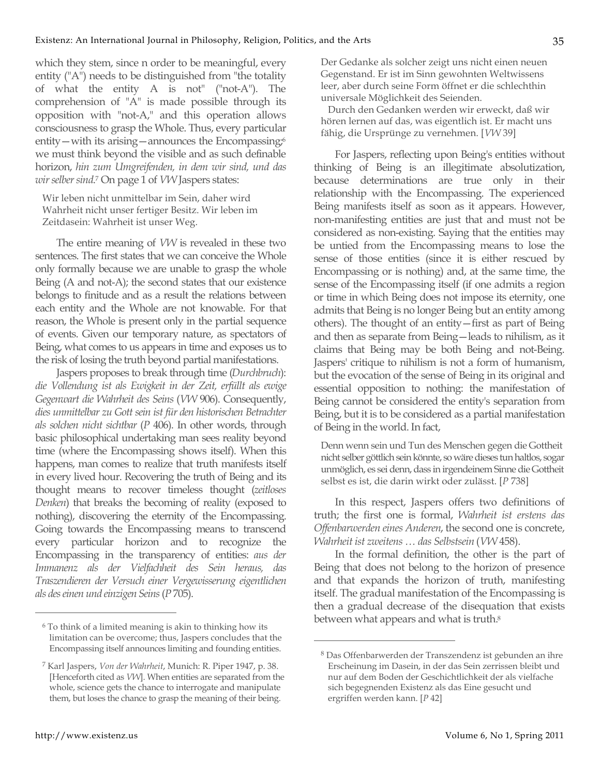which they stem, since n order to be meaningful, every entity ("A") needs to be distinguished from "the totality of what the entity A is not" ("not-A"). The comprehension of "A" is made possible through its opposition with "not-A," and this operation allows consciousness to grasp the Whole. Thus, every particular entity—with its arising—announces the Encompassing $\phi$ we must think beyond the visible and as such definable horizon, *hin zum Umgreifenden, in dem wir sind, und das wir selber sind*. 7 On page 1 of *VW* Jaspers states:

Wir leben nicht unmittelbar im Sein, daher wird Wahrheit nicht unser fertiger Besitz. Wir leben im Zeitdasein: Wahrheit ist unser Weg.

The entire meaning of *VW* is revealed in these two sentences. The first states that we can conceive the Whole only formally because we are unable to grasp the whole Being (A and not-A); the second states that our existence belongs to finitude and as a result the relations between each entity and the Whole are not knowable. For that reason, the Whole is present only in the partial sequence of events. Given our temporary nature, as spectators of Being, what comes to us appears in time and exposes us to the risk of losing the truth beyond partial manifestations.

Jaspers proposes to break through time (*Durchbruch*): *die Vollendung ist als Ewigkeit in der Zeit, erfüllt als ewige Gegenwart die Wahrheit des Seins* (*VW* 906). Consequently, *dies unmittelbar zu Gott sein ist für den historischen Betrachter als solchen nicht sichtbar* (*P* 406). In other words, through basic philosophical undertaking man sees reality beyond time (where the Encompassing shows itself). When this happens, man comes to realize that truth manifests itself in every lived hour. Recovering the truth of Being and its thought means to recover timeless thought (*zeitloses Denken*) that breaks the becoming of reality (exposed to nothing), discovering the eternity of the Encompassing. Going towards the Encompassing means to transcend every particular horizon and to recognize the Encompassing in the transparency of entities: *aus der Immanenz als der Vielfachheit des Sein heraus, das Traszendieren der Versuch einer Vergewisserung eigentlichen als des einen und einzigen Seins* (*P* 705).

Der Gedanke als solcher zeigt uns nicht einen neuen Gegenstand. Er ist im Sinn gewohnten Weltwissens leer, aber durch seine Form öffnet er die schlechthin universale Möglichkeit des Seienden.

Durch den Gedanken werden wir erweckt, daß wir hören lernen auf das, was eigentlich ist. Er macht uns fähig, die Ursprünge zu vernehmen. [*VW* 39]

For Jaspers, reflecting upon Being's entities without thinking of Being is an illegitimate absolutization, because determinations are true only in their relationship with the Encompassing. The experienced Being manifests itself as soon as it appears. However, non-manifesting entities are just that and must not be considered as non-existing. Saying that the entities may be untied from the Encompassing means to lose the sense of those entities (since it is either rescued by Encompassing or is nothing) and, at the same time, the sense of the Encompassing itself (if one admits a region or time in which Being does not impose its eternity, one admits that Being is no longer Being but an entity among others). The thought of an entity—first as part of Being and then as separate from Being—leads to nihilism, as it claims that Being may be both Being and not-Being. Jaspers' critique to nihilism is not a form of humanism, but the evocation of the sense of Being in its original and essential opposition to nothing: the manifestation of Being cannot be considered the entity's separation from Being, but it is to be considered as a partial manifestation of Being in the world. In fact,

Denn wenn sein und Tun des Menschen gegen die Gottheit nicht selber göttlich sein könnte, so wäre dieses tun haltlos, sogar unmöglich, es sei denn, dass in irgendeinem Sinne die Gottheit selbst es ist, die darin wirkt oder zulässt. [*P* 738]

In this respect, Jaspers offers two definitions of truth; the first one is formal, *Wahrheit ist erstens das Offenbarwerden eines Anderen*, the second one is concrete, *Wahrheit ist zweitens … das Selbstsein* (*VW* 458).

In the formal definition, the other is the part of Being that does not belong to the horizon of presence and that expands the horizon of truth, manifesting itself. The gradual manifestation of the Encompassing is then a gradual decrease of the disequation that exists between what appears and what is truth.<sup>8</sup>

 $\overline{a}$ 

<sup>6</sup> To think of a limited meaning is akin to thinking how its limitation can be overcome; thus, Jaspers concludes that the Encompassing itself announces limiting and founding entities.

<sup>7</sup> Karl Jaspers, *Von der Wahrheit*, Munich: R. Piper 1947, p. 38. [Henceforth cited as *VW*]. When entities are separated from the whole, science gets the chance to interrogate and manipulate them, but loses the chance to grasp the meaning of their being.

<sup>8</sup> Das Offenbarwerden der Transzendenz ist gebunden an ihre Erscheinung im Dasein, in der das Sein zerrissen bleibt und nur auf dem Boden der Geschichtlichkeit der als vielfache sich begegnenden Existenz als das Eine gesucht und ergriffen werden kann. [*P* 42]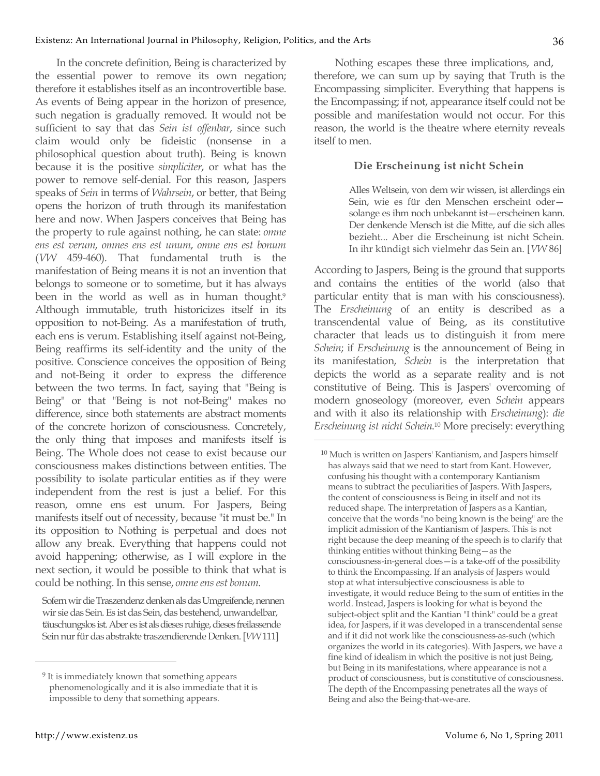In the concrete definition, Being is characterized by the essential power to remove its own negation; therefore it establishes itself as an incontrovertible base. As events of Being appear in the horizon of presence, such negation is gradually removed. It would not be sufficient to say that das *Sein ist offenbar*, since such claim would only be fideistic (nonsense in a philosophical question about truth). Being is known because it is the positive *simpliciter*, or what has the power to remove self-denial. For this reason, Jaspers speaks of *Sein* in terms of *Wahrsein*, or better, that Being opens the horizon of truth through its manifestation here and now. When Jaspers conceives that Being has the property to rule against nothing, he can state: *omne ens est verum*, *omnes ens est unum*, *omne ens est bonum* (*VW* 459-460). That fundamental truth is the manifestation of Being means it is not an invention that belongs to someone or to sometime, but it has always been in the world as well as in human thought.<sup>9</sup> Although immutable, truth historicizes itself in its opposition to not-Being. As a manifestation of truth, each ens is verum. Establishing itself against not-Being, Being reaffirms its self-identity and the unity of the positive. Conscience conceives the opposition of Being and not-Being it order to express the difference between the two terms. In fact, saying that "Being is Being" or that "Being is not not-Being" makes no difference, since both statements are abstract moments of the concrete horizon of consciousness. Concretely, the only thing that imposes and manifests itself is Being. The Whole does not cease to exist because our consciousness makes distinctions between entities. The possibility to isolate particular entities as if they were independent from the rest is just a belief. For this reason, omne ens est unum. For Jaspers, Being manifests itself out of necessity, because "it must be." In its opposition to Nothing is perpetual and does not allow any break. Everything that happens could not avoid happening; otherwise, as I will explore in the next section, it would be possible to think that what is could be nothing. In this sense, *omne ens est bonum*.

Nothing escapes these three implications, and, therefore, we can sum up by saying that Truth is the Encompassing simpliciter. Everything that happens is the Encompassing; if not, appearance itself could not be possible and manifestation would not occur. For this reason, the world is the theatre where eternity reveals itself to men.

### **Die Erscheinung ist nicht Schein**

Alles Weltsein, von dem wir wissen, ist allerdings ein Sein, wie es für den Menschen erscheint oder solange es ihm noch unbekannt ist—erscheinen kann. Der denkende Mensch ist die Mitte, auf die sich alles bezieht... Aber die Erscheinung ist nicht Schein. In ihr kündigt sich vielmehr das Sein an. [*VW* 86]

According to Jaspers, Being is the ground that supports and contains the entities of the world (also that particular entity that is man with his consciousness). The *Erscheinung* of an entity is described as a transcendental value of Being, as its constitutive character that leads us to distinguish it from mere *Schein*; if *Erscheinung* is the announcement of Being in its manifestation, *Schein* is the interpretation that depicts the world as a separate reality and is not constitutive of Being. This is Jaspers' overcoming of modern gnoseology (moreover, even *Schein* appears and with it also its relationship with *Erscheinung*): *die Erscheinung ist nicht Schein*. 10 More precisely: everything

 $\overline{a}$ 

Sofern wir die Traszendenz denken als das Umgreifende, nennen wir sie das Sein. Es ist das Sein, das bestehend, unwandelbar, täuschungslos ist. Aber es ist als dieses ruhige, dieses freilassende Sein nur für das abstrakte traszendierende Denken. [*VW* 111]

<sup>&</sup>lt;sup>9</sup> It is immediately known that something appears phenomenologically and it is also immediate that it is impossible to deny that something appears.

<sup>10</sup> Much is written on Jaspers' Kantianism, and Jaspers himself has always said that we need to start from Kant. However, confusing his thought with a contemporary Kantianism means to subtract the peculiarities of Jaspers. With Jaspers, the content of consciousness is Being in itself and not its reduced shape. The interpretation of Jaspers as a Kantian, conceive that the words "no being known is the being" are the implicit admission of the Kantianism of Jaspers. This is not right because the deep meaning of the speech is to clarify that thinking entities without thinking Being—as the consciousness-in-general does—is a take-off of the possibility to think the Encompassing. If an analysis of Jaspers would stop at what intersubjective consciousness is able to investigate, it would reduce Being to the sum of entities in the world. Instead, Jaspers is looking for what is beyond the subject-object split and the Kantian "I think" could be a great idea, for Jaspers, if it was developed in a transcendental sense and if it did not work like the consciousness-as-such (which organizes the world in its categories). With Jaspers, we have a fine kind of idealism in which the positive is not just Being, but Being in its manifestations, where appearance is not a product of consciousness, but is constitutive of consciousness. The depth of the Encompassing penetrates all the ways of Being and also the Being-that-we-are.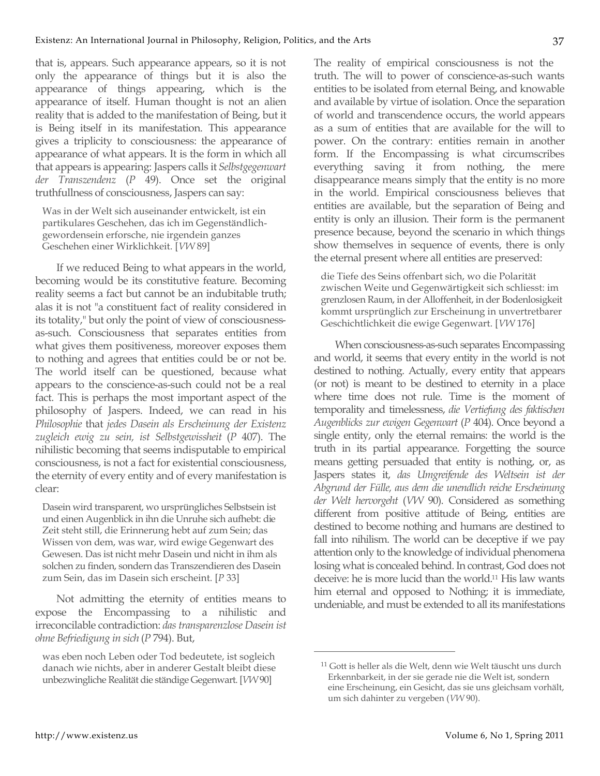that is, appears. Such appearance appears, so it is not only the appearance of things but it is also the appearance of things appearing, which is the appearance of itself. Human thought is not an alien reality that is added to the manifestation of Being, but it is Being itself in its manifestation. This appearance gives a triplicity to consciousness: the appearance of appearance of what appears. It is the form in which all that appears is appearing: Jaspers calls it *Selbstgegenwart der Transzendenz* (*P* 49). Once set the original truthfullness of consciousness, Jaspers can say:

Was in der Welt sich auseinander entwickelt, ist ein partikulares Geschehen, das ich im Gegenständlichgewordensein erforsche, nie irgendein ganzes Geschehen einer Wirklichkeit. [*VW* 89]

If we reduced Being to what appears in the world, becoming would be its constitutive feature. Becoming reality seems a fact but cannot be an indubitable truth; alas it is not "a constituent fact of reality considered in its totality," but only the point of view of consciousnessas-such. Consciousness that separates entities from what gives them positiveness, moreover exposes them to nothing and agrees that entities could be or not be. The world itself can be questioned, because what appears to the conscience-as-such could not be a real fact. This is perhaps the most important aspect of the philosophy of Jaspers. Indeed, we can read in his *Philosophie* that *jedes Dasein als Erscheinung der Existenz zugleich ewig zu sein, ist Selbstgewissheit* (*P* 407). The nihilistic becoming that seems indisputable to empirical consciousness, is not a fact for existential consciousness, the eternity of every entity and of every manifestation is clear:

Dasein wird transparent, wo ursprüngliches Selbstsein ist und einen Augenblick in ihn die Unruhe sich aufhebt: die Zeit steht still, die Erinnerung hebt auf zum Sein; das Wissen von dem, was war, wird ewige Gegenwart des Gewesen. Das ist nicht mehr Dasein und nicht in ihm als solchen zu finden, sondern das Transzendieren des Dasein zum Sein, das im Dasein sich erscheint. [*P* 33]

Not admitting the eternity of entities means to expose the Encompassing to a nihilistic and irreconcilable contradiction: *das transparenzlose Dasein ist ohne Befriedigung in sich* (*P* 794). But,

was eben noch Leben oder Tod bedeutete, ist sogleich danach wie nichts, aber in anderer Gestalt bleibt diese unbezwingliche Realität die ständige Gegenwart. [*VW* 90]

The reality of empirical consciousness is not the truth. The will to power of conscience-as-such wants entities to be isolated from eternal Being, and knowable and available by virtue of isolation. Once the separation of world and transcendence occurs, the world appears as a sum of entities that are available for the will to power. On the contrary: entities remain in another form. If the Encompassing is what circumscribes everything saving it from nothing, the mere disappearance means simply that the entity is no more in the world. Empirical consciousness believes that entities are available, but the separation of Being and entity is only an illusion. Their form is the permanent presence because, beyond the scenario in which things show themselves in sequence of events, there is only the eternal present where all entities are preserved:

die Tiefe des Seins offenbart sich, wo die Polarität zwischen Weite und Gegenwärtigkeit sich schliesst: im grenzlosen Raum, in der Alloffenheit, in der Bodenlosigkeit kommt ursprünglich zur Erscheinung in unvertretbarer Geschichtlichkeit die ewige Gegenwart. [*VW* 176]

When consciousness-as-such separates Encompassing and world, it seems that every entity in the world is not destined to nothing. Actually, every entity that appears (or not) is meant to be destined to eternity in a place where time does not rule. Time is the moment of temporality and timelessness, *die Vertiefung des faktischen Augenblicks zur ewigen Gegenwart* (*P* 404). Once beyond a single entity, only the eternal remains: the world is the truth in its partial appearance. Forgetting the source means getting persuaded that entity is nothing, or, as Jaspers states it, *das Umgreifende des Weltsein ist der Abgrund der Fülle, aus dem die unendlich reiche Erscheinung der Welt hervorgeht* (*VW* 90). Considered as something different from positive attitude of Being, entities are destined to become nothing and humans are destined to fall into nihilism. The world can be deceptive if we pay attention only to the knowledge of individual phenomena losing what is concealed behind. In contrast, God does not deceive: he is more lucid than the world.11 His law wants him eternal and opposed to Nothing; it is immediate, undeniable, and must be extended to all its manifestations

<sup>11</sup> Gott is heller als die Welt, denn wie Welt täuscht uns durch Erkennbarkeit, in der sie gerade nie die Welt ist, sondern eine Erscheinung, ein Gesicht, das sie uns gleichsam vorhält, um sich dahinter zu vergeben (*VW* 90).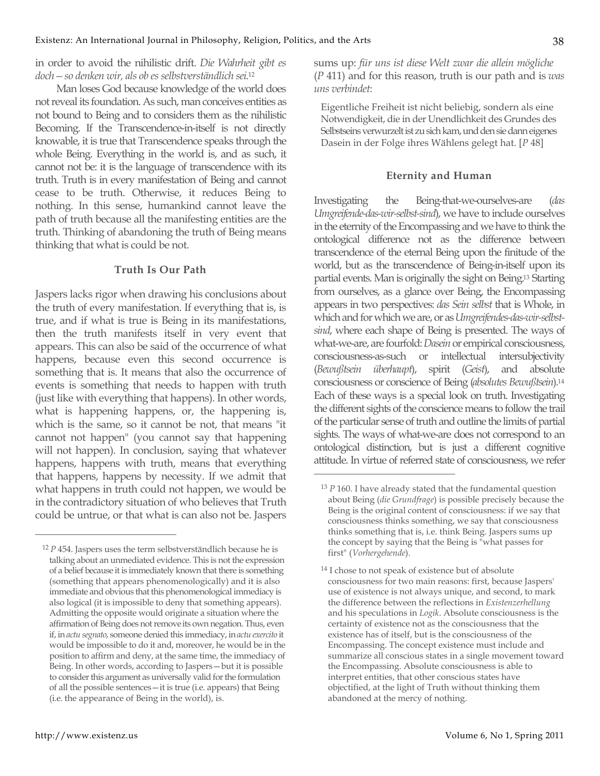in order to avoid the nihilistic drift. *Die Wahrheit gibt es doch—so denken wir, als ob es selbstverständlich sei*. 12

Man loses God because knowledge of the world does not reveal its foundation. As such, man conceives entities as not bound to Being and to considers them as the nihilistic Becoming. If the Transcendence-in-itself is not directly knowable, it is true that Transcendence speaks through the whole Being. Everything in the world is, and as such, it cannot not be: it is the language of transcendence with its truth. Truth is in every manifestation of Being and cannot cease to be truth. Otherwise, it reduces Being to nothing. In this sense, humankind cannot leave the path of truth because all the manifesting entities are the truth. Thinking of abandoning the truth of Being means thinking that what is could be not.

# **Truth Is Our Path**

Jaspers lacks rigor when drawing his conclusions about the truth of every manifestation. If everything that is, is true, and if what is true is Being in its manifestations, then the truth manifests itself in very event that appears. This can also be said of the occurrence of what happens, because even this second occurrence is something that is. It means that also the occurrence of events is something that needs to happen with truth (just like with everything that happens). In other words, what is happening happens, or, the happening is, which is the same, so it cannot be not, that means "it cannot not happen" (you cannot say that happening will not happen). In conclusion, saying that whatever happens, happens with truth, means that everything that happens, happens by necessity. If we admit that what happens in truth could not happen, we would be in the contradictory situation of who believes that Truth could be untrue, or that what is can also not be. Jaspers sums up: *für uns ist diese Welt zwar die allein mögliche*  (*P* 411) and for this reason, truth is our path and is *was uns verbindet*:

Eigentliche Freiheit ist nicht beliebig, sondern als eine Notwendigkeit, die in der Unendlichkeit des Grundes des Selbstseins verwurzelt ist zu sich kam, und den sie dann eigenes Dasein in der Folge ihres Wählens gelegt hat. [*P* 48]

#### **Eternity and Human**

Investigating the Being-that-we-ourselves-are (*das Umgreifende-das-wir-selbst-sind*), we have to include ourselves in the eternity of the Encompassing and we have to think the ontological difference not as the difference between transcendence of the eternal Being upon the finitude of the world, but as the transcendence of Being-in-itself upon its partial events. Man is originally the sight on Being.13 Starting from ourselves, as a glance over Being, the Encompassing appears in two perspectives: *das Sein selbst* that is Whole, in which and for which we are, or as *Umgreifendes-das-wir-selbstsind*, where each shape of Being is presented. The ways of what-we-are, are fourfold: *Dasein* or empirical consciousness, consciousness-as-such or intellectual intersubjectivity (*Bewußtsein überhaupt*), spirit (*Geist*), and absolute consciousness or conscience of Being (*absolutes Bewußtsein*).14 Each of these ways is a special look on truth. Investigating the different sights of the conscience means to follow the trail of the particular sense of truth and outline the limits of partial sights. The ways of what-we-are does not correspond to an ontological distinction, but is just a different cognitive attitude. In virtue of referred state of consciousness, we refer

 $\overline{a}$ 

<sup>12</sup> *P* 454. Jaspers uses the term selbstverständlich because he is talking about an unmediated evidence. This is not the expression of a belief because it is immediately known that there is something (something that appears phenomenologically) and it is also immediate and obvious that this phenomenological immediacy is also logical (it is impossible to deny that something appears). Admitting the opposite would originate a situation where the affirmation of Being does not remove its own negation. Thus, even if, in *actu segnato*, someone denied this immediacy, in *actu exercito* it would be impossible to do it and, moreover, he would be in the position to affirm and deny, at the same time, the immediacy of Being. In other words, according to Jaspers—but it is possible to consider this argument as universally valid for the formulation of all the possible sentences—it is true (i.e. appears) that Being (i.e. the appearance of Being in the world), is.

<sup>13</sup> *P* 160. I have already stated that the fundamental question about Being (*die Grundfrage*) is possible precisely because the Being is the original content of consciousness: if we say that consciousness thinks something, we say that consciousness thinks something that is, i.e. think Being. Jaspers sums up the concept by saying that the Being is "what passes for first" (*Vorhergehende*).

<sup>14</sup> I chose to not speak of existence but of absolute consciousness for two main reasons: first, because Jaspers' use of existence is not always unique, and second, to mark the difference between the reflections in *Existenzerhellung* and his speculations in *Logik*. Absolute consciousness is the certainty of existence not as the consciousness that the existence has of itself, but is the consciousness of the Encompassing. The concept existence must include and summarize all conscious states in a single movement toward the Encompassing. Absolute consciousness is able to interpret entities, that other conscious states have objectified, at the light of Truth without thinking them abandoned at the mercy of nothing.